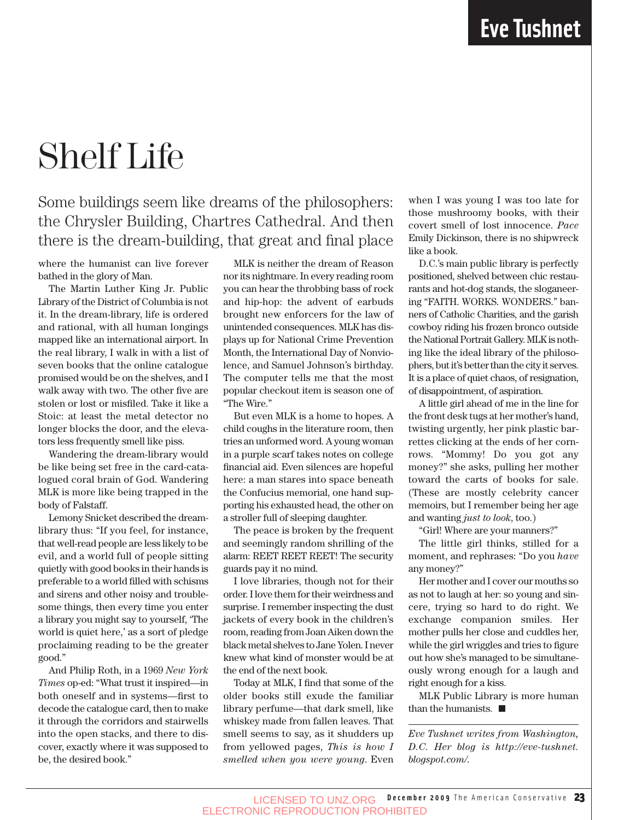## Shelf Life

### Some buildings seem like dreams of the philosophers: the Chrysler Building, Chartres Cathedral. And then there is the dream-building, that great and final place

where the humanist can live forever bathed in the glory of Man.

The Martin Luther King Jr. Public Library of the District of Columbia is not it. In the dream-library, life is ordered and rational, with all human longings mapped like an international airport. In the real library, I walk in with a list of seven books that the online catalogue promised would be on the shelves, and I walk away with two. The other five are stolen or lost or misfiled. Take it like a Stoic: at least the metal detector no longer blocks the door, and the elevators less frequently smell like piss.

Wandering the dream-library would be like being set free in the card-catalogued coral brain of God. Wandering MLK is more like being trapped in the body of Falstaff.

Lemony Snicket described the dreamlibrary thus: "If you feel, for instance, that well-read people are less likely to be evil, and a world full of people sitting quietly with good books in their hands is preferable to a world filled with schisms and sirens and other noisy and troublesome things, then every time you enter a library you might say to yourself, 'The world is quiet here,' as a sort of pledge proclaiming reading to be the greater good."

And Philip Roth, in a 1969 *New York Times* op-ed: "What trust it inspired—in both oneself and in systems—first to decode the catalogue card, then to make it through the corridors and stairwells into the open stacks, and there to discover, exactly where it was supposed to be, the desired book."

MLK is neither the dream of Reason nor its nightmare. In every reading room you can hear the throbbing bass of rock and hip-hop: the advent of earbuds brought new enforcers for the law of unintended consequences. MLK has displays up for National Crime Prevention Month, the International Day of Nonviolence, and Samuel Johnson's birthday. The computer tells me that the most popular checkout item is season one of "The Wire."

But even MLK is a home to hopes. A child coughs in the literature room, then tries an unformed word. A young woman in a purple scarf takes notes on college financial aid. Even silences are hopeful here: a man stares into space beneath the Confucius memorial, one hand supporting his exhausted head, the other on a stroller full of sleeping daughter.

The peace is broken by the frequent and seemingly random shrilling of the alarm: REET REET REET! The security guards pay it no mind.

I love libraries, though not for their order. I love them for their weirdness and surprise. I remember inspecting the dust jackets of every book in the children's room, reading from Joan Aiken down the black metal shelves to Jane Yolen. I never knew what kind of monster would be at the end of the next book.

Today at MLK, I find that some of the older books still exude the familiar library perfume—that dark smell, like whiskey made from fallen leaves. That smell seems to say, as it shudders up from yellowed pages, *This is how I smelled when you were young*. Even

when I was young I was too late for those mushroomy books, with their covert smell of lost innocence. *Pace* Emily Dickinson, there is no shipwreck like a book.

D.C.'s main public library is perfectly positioned, shelved between chic restaurants and hot-dog stands, the sloganeering "FAITH. WORKS. WONDERS." banners of Catholic Charities, and the garish cowboy riding his frozen bronco outside the National Portrait Gallery. MLK is nothing like the ideal library of the philosophers, but it's better than the city it serves. It is a place of quiet chaos, of resignation, of disappointment, of aspiration.

A little girl ahead of me in the line for the front desk tugs at her mother's hand, twisting urgently, her pink plastic barrettes clicking at the ends of her cornrows. "Mommy! Do you got any money?" she asks, pulling her mother toward the carts of books for sale. (These are mostly celebrity cancer memoirs, but I remember being her age and wanting *just to look*, too.)

"Girl! Where are your manners?"

The little girl thinks, stilled for a moment, and rephrases: "Do you *have* any money?"

Her mother and I cover our mouths so as not to laugh at her: so young and sincere, trying so hard to do right. We exchange companion smiles. Her mother pulls her close and cuddles her, while the girl wriggles and tries to figure out how she's managed to be simultaneously wrong enough for a laugh and right enough for a kiss.

MLK Public Library is more human than the humanists.

*Eve Tushnet writes from Washington, D.C. Her blog is http://eve-tushnet. blogspot.com/.*